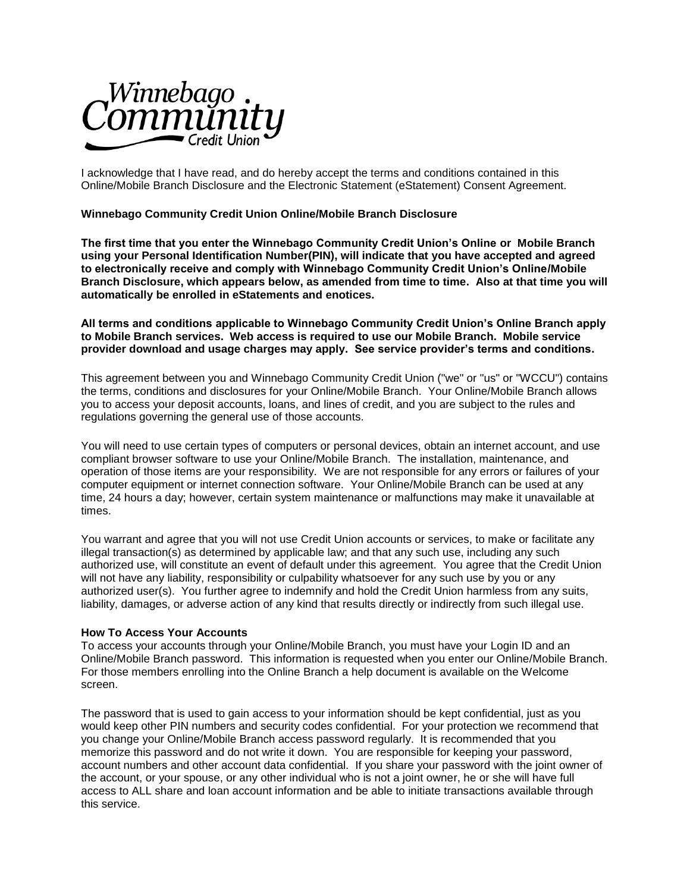

I acknowledge that I have read, and do hereby accept the terms and conditions contained in this Online/Mobile Branch Disclosure and the Electronic Statement (eStatement) Consent Agreement.

# **Winnebago Community Credit Union Online/Mobile Branch Disclosure**

**The first time that you enter the Winnebago Community Credit Union's Online or Mobile Branch using your Personal Identification Number(PIN), will indicate that you have accepted and agreed to electronically receive and comply with Winnebago Community Credit Union's Online/Mobile Branch Disclosure, which appears below, as amended from time to time. Also at that time you will automatically be enrolled in eStatements and enotices.** 

### **All terms and conditions applicable to Winnebago Community Credit Union's Online Branch apply to Mobile Branch services. Web access is required to use our Mobile Branch. Mobile service provider download and usage charges may apply. See service provider's terms and conditions.**

This agreement between you and Winnebago Community Credit Union ("we" or "us" or "WCCU") contains the terms, conditions and disclosures for your Online/Mobile Branch. Your Online/Mobile Branch allows you to access your deposit accounts, loans, and lines of credit, and you are subject to the rules and regulations governing the general use of those accounts.

You will need to use certain types of computers or personal devices, obtain an internet account, and use compliant browser software to use your Online/Mobile Branch. The installation, maintenance, and operation of those items are your responsibility. We are not responsible for any errors or failures of your computer equipment or internet connection software. Your Online/Mobile Branch can be used at any time, 24 hours a day; however, certain system maintenance or malfunctions may make it unavailable at times.

You warrant and agree that you will not use Credit Union accounts or services, to make or facilitate any illegal transaction(s) as determined by applicable law; and that any such use, including any such authorized use, will constitute an event of default under this agreement. You agree that the Credit Union will not have any liability, responsibility or culpability whatsoever for any such use by you or any authorized user(s). You further agree to indemnify and hold the Credit Union harmless from any suits, liability, damages, or adverse action of any kind that results directly or indirectly from such illegal use.

#### **How To Access Your Accounts**

To access your accounts through your Online/Mobile Branch, you must have your Login ID and an Online/Mobile Branch password. This information is requested when you enter our Online/Mobile Branch. For those members enrolling into the Online Branch a help document is available on the Welcome screen.

The password that is used to gain access to your information should be kept confidential, just as you would keep other PIN numbers and security codes confidential. For your protection we recommend that you change your Online/Mobile Branch access password regularly. It is recommended that you memorize this password and do not write it down. You are responsible for keeping your password, account numbers and other account data confidential. If you share your password with the joint owner of the account, or your spouse, or any other individual who is not a joint owner, he or she will have full access to ALL share and loan account information and be able to initiate transactions available through this service.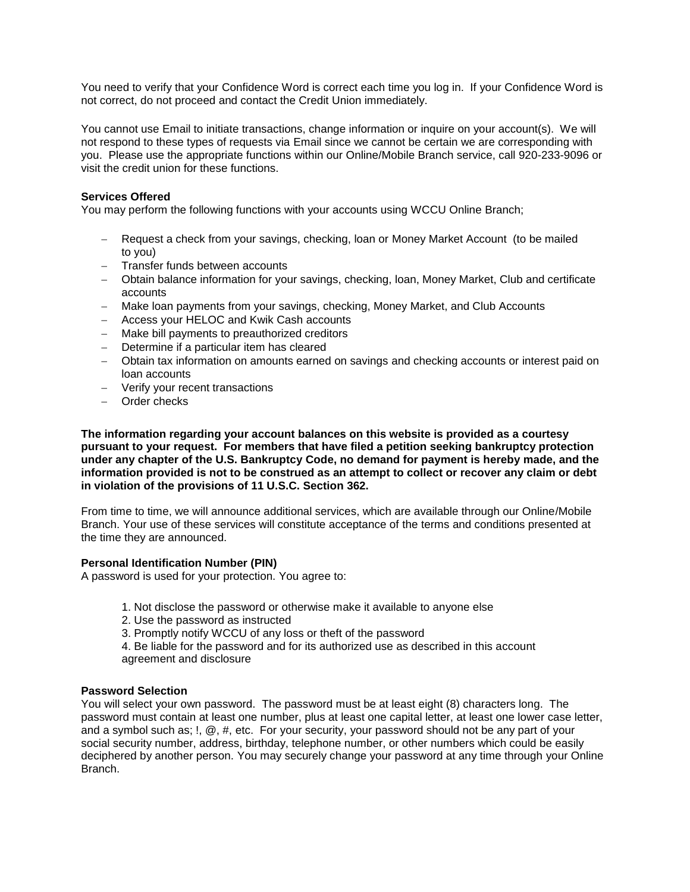You need to verify that your Confidence Word is correct each time you log in. If your Confidence Word is not correct, do not proceed and contact the Credit Union immediately.

You cannot use Email to initiate transactions, change information or inquire on your account(s). We will not respond to these types of requests via Email since we cannot be certain we are corresponding with you. Please use the appropriate functions within our Online/Mobile Branch service, call 920-233-9096 or visit the credit union for these functions.

# **Services Offered**

You may perform the following functions with your accounts using WCCU Online Branch;

- Request a check from your savings, checking, loan or Money Market Account (to be mailed to you)
- Transfer funds between accounts
- Obtain balance information for your savings, checking, loan, Money Market, Club and certificate accounts
- Make loan payments from your savings, checking, Money Market, and Club Accounts
- Access your HELOC and Kwik Cash accounts
- Make bill payments to preauthorized creditors
- Determine if a particular item has cleared
- Obtain tax information on amounts earned on savings and checking accounts or interest paid on loan accounts
- Verify your recent transactions
- Order checks

**The information regarding your account balances on this website is provided as a courtesy pursuant to your request. For members that have filed a petition seeking bankruptcy protection under any chapter of the U.S. Bankruptcy Code, no demand for payment is hereby made, and the information provided is not to be construed as an attempt to collect or recover any claim or debt in violation of the provisions of 11 U.S.C. Section 362.** 

From time to time, we will announce additional services, which are available through our Online/Mobile Branch. Your use of these services will constitute acceptance of the terms and conditions presented at the time they are announced.

# **Personal Identification Number (PIN)**

A password is used for your protection. You agree to:

- 1. Not disclose the password or otherwise make it available to anyone else
- 2. Use the password as instructed
- 3. Promptly notify WCCU of any loss or theft of the password

4. Be liable for the password and for its authorized use as described in this account agreement and disclosure

# **Password Selection**

You will select your own password. The password must be at least eight (8) characters long. The password must contain at least one number, plus at least one capital letter, at least one lower case letter, and a symbol such as; !, @, #, etc. For your security, your password should not be any part of your social security number, address, birthday, telephone number, or other numbers which could be easily deciphered by another person. You may securely change your password at any time through your Online Branch.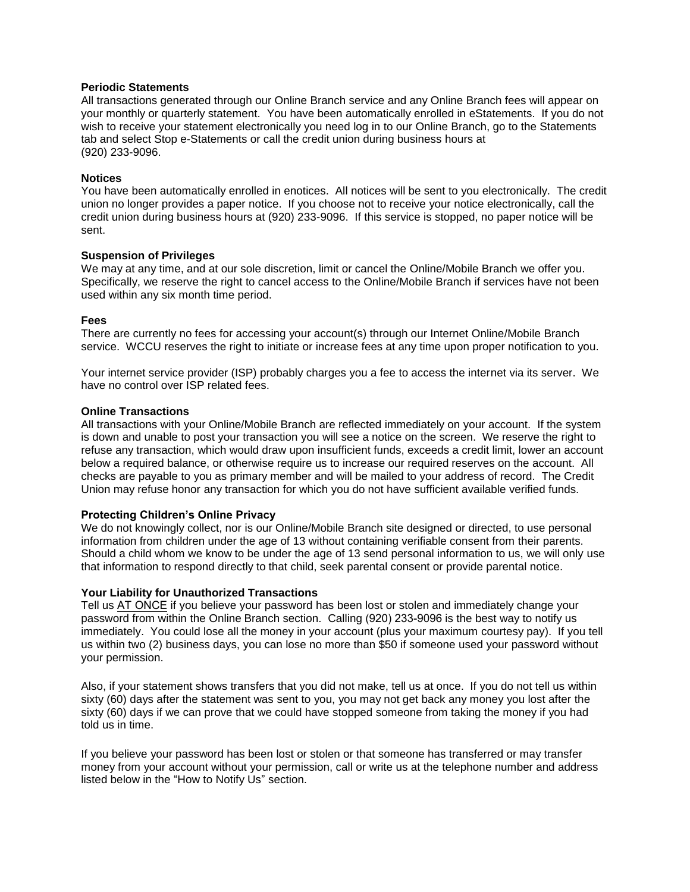# **Periodic Statements**

All transactions generated through our Online Branch service and any Online Branch fees will appear on your monthly or quarterly statement. You have been automatically enrolled in eStatements. If you do not wish to receive your statement electronically you need log in to our Online Branch, go to the Statements tab and select Stop e-Statements or call the credit union during business hours at (920) 233-9096.

### **Notices**

You have been automatically enrolled in enotices. All notices will be sent to you electronically. The credit union no longer provides a paper notice. If you choose not to receive your notice electronically, call the credit union during business hours at (920) 233-9096. If this service is stopped, no paper notice will be sent.

### **Suspension of Privileges**

We may at any time, and at our sole discretion, limit or cancel the Online/Mobile Branch we offer you. Specifically, we reserve the right to cancel access to the Online/Mobile Branch if services have not been used within any six month time period.

# **Fees**

There are currently no fees for accessing your account(s) through our Internet Online/Mobile Branch service. WCCU reserves the right to initiate or increase fees at any time upon proper notification to you.

Your internet service provider (ISP) probably charges you a fee to access the internet via its server. We have no control over ISP related fees.

### **Online Transactions**

All transactions with your Online/Mobile Branch are reflected immediately on your account. If the system is down and unable to post your transaction you will see a notice on the screen. We reserve the right to refuse any transaction, which would draw upon insufficient funds, exceeds a credit limit, lower an account below a required balance, or otherwise require us to increase our required reserves on the account. All checks are payable to you as primary member and will be mailed to your address of record. The Credit Union may refuse honor any transaction for which you do not have sufficient available verified funds.

# **Protecting Children's Online Privacy**

We do not knowingly collect, nor is our Online/Mobile Branch site designed or directed, to use personal information from children under the age of 13 without containing verifiable consent from their parents. Should a child whom we know to be under the age of 13 send personal information to us, we will only use that information to respond directly to that child, seek parental consent or provide parental notice.

#### **Your Liability for Unauthorized Transactions**

Tell us AT ONCE if you believe your password has been lost or stolen and immediately change your password from within the Online Branch section. Calling (920) 233-9096 is the best way to notify us immediately. You could lose all the money in your account (plus your maximum courtesy pay). If you tell us within two (2) business days, you can lose no more than \$50 if someone used your password without your permission.

Also, if your statement shows transfers that you did not make, tell us at once. If you do not tell us within sixty (60) days after the statement was sent to you, you may not get back any money you lost after the sixty (60) days if we can prove that we could have stopped someone from taking the money if you had told us in time.

If you believe your password has been lost or stolen or that someone has transferred or may transfer money from your account without your permission, call or write us at the telephone number and address listed below in the "How to Notify Us" section.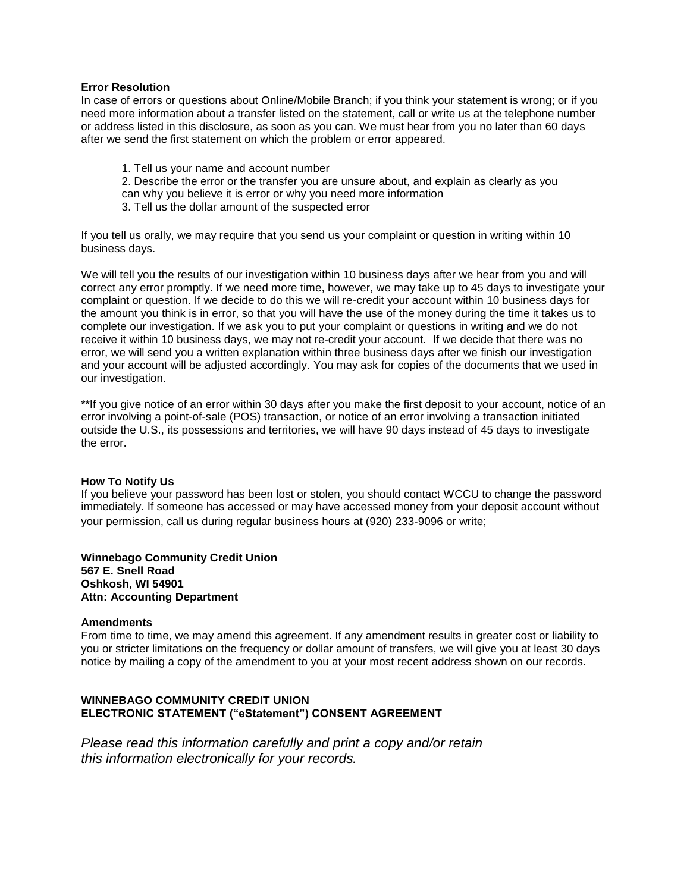### **Error Resolution**

In case of errors or questions about Online/Mobile Branch; if you think your statement is wrong; or if you need more information about a transfer listed on the statement, call or write us at the telephone number or address listed in this disclosure, as soon as you can. We must hear from you no later than 60 days after we send the first statement on which the problem or error appeared.

1. Tell us your name and account number 2. Describe the error or the transfer you are unsure about, and explain as clearly as you can why you believe it is error or why you need more information 3. Tell us the dollar amount of the suspected error

If you tell us orally, we may require that you send us your complaint or question in writing within 10 business days.

We will tell you the results of our investigation within 10 business days after we hear from you and will correct any error promptly. If we need more time, however, we may take up to 45 days to investigate your complaint or question. If we decide to do this we will re-credit your account within 10 business days for the amount you think is in error, so that you will have the use of the money during the time it takes us to complete our investigation. If we ask you to put your complaint or questions in writing and we do not receive it within 10 business days, we may not re-credit your account. If we decide that there was no error, we will send you a written explanation within three business days after we finish our investigation and your account will be adjusted accordingly. You may ask for copies of the documents that we used in our investigation.

\*\*If you give notice of an error within 30 days after you make the first deposit to your account, notice of an error involving a point-of-sale (POS) transaction, or notice of an error involving a transaction initiated outside the U.S., its possessions and territories, we will have 90 days instead of 45 days to investigate the error.

# **How To Notify Us**

If you believe your password has been lost or stolen, you should contact WCCU to change the password immediately. If someone has accessed or may have accessed money from your deposit account without your permission, call us during regular business hours at (920) 233-9096 or write;

# **Winnebago Community Credit Union 567 E. Snell Road Oshkosh, WI 54901 Attn: Accounting Department**

# **Amendments**

From time to time, we may amend this agreement. If any amendment results in greater cost or liability to you or stricter limitations on the frequency or dollar amount of transfers, we will give you at least 30 days notice by mailing a copy of the amendment to you at your most recent address shown on our records.

# **WINNEBAGO COMMUNITY CREDIT UNION ELECTRONIC STATEMENT ("eStatement") CONSENT AGREEMENT**

*Please read this information carefully and print a copy and/or retain this information electronically for your records.*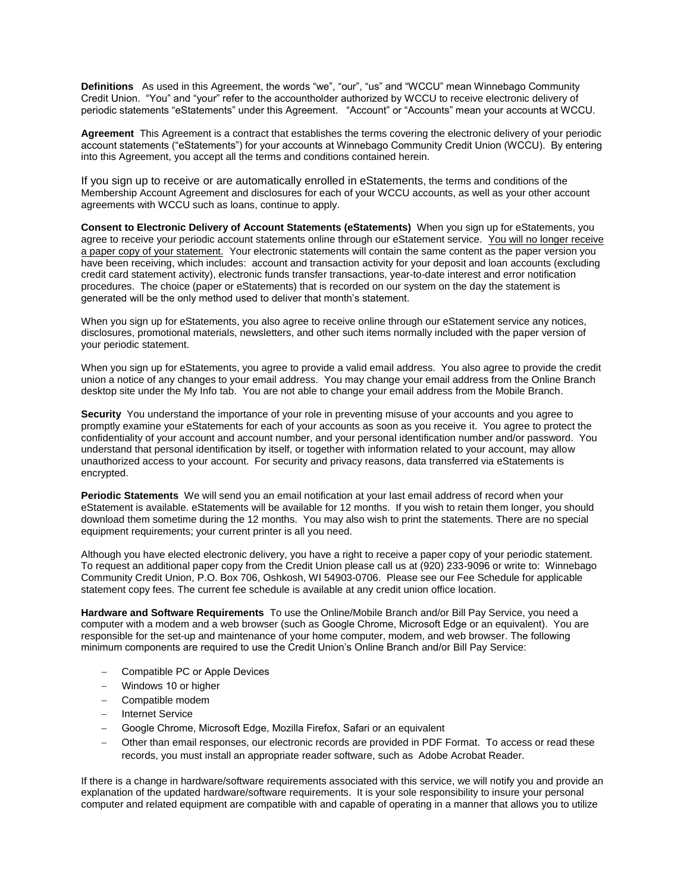**Definitions** As used in this Agreement, the words "we", "our", "us" and "WCCU" mean Winnebago Community Credit Union. "You" and "your" refer to the accountholder authorized by WCCU to receive electronic delivery of periodic statements "eStatements" under this Agreement. "Account" or "Accounts" mean your accounts at WCCU.

**Agreement** This Agreement is a contract that establishes the terms covering the electronic delivery of your periodic account statements ("eStatements") for your accounts at Winnebago Community Credit Union (WCCU). By entering into this Agreement, you accept all the terms and conditions contained herein.

If you sign up to receive or are automatically enrolled in eStatements, the terms and conditions of the Membership Account Agreement and disclosures for each of your WCCU accounts, as well as your other account agreements with WCCU such as loans, continue to apply.

**Consent to Electronic Delivery of Account Statements (eStatements)** When you sign up for eStatements, you agree to receive your periodic account statements online through our eStatement service. You will no longer receive a paper copy of your statement. Your electronic statements will contain the same content as the paper version you have been receiving, which includes: account and transaction activity for your deposit and loan accounts (excluding credit card statement activity), electronic funds transfer transactions, year-to-date interest and error notification procedures. The choice (paper or eStatements) that is recorded on our system on the day the statement is generated will be the only method used to deliver that month's statement.

When you sign up for eStatements, you also agree to receive online through our eStatement service any notices, disclosures, promotional materials, newsletters, and other such items normally included with the paper version of your periodic statement.

When you sign up for eStatements, you agree to provide a valid email address. You also agree to provide the credit union a notice of any changes to your email address. You may change your email address from the Online Branch desktop site under the My Info tab. You are not able to change your email address from the Mobile Branch.

**Security** You understand the importance of your role in preventing misuse of your accounts and you agree to promptly examine your eStatements for each of your accounts as soon as you receive it. You agree to protect the confidentiality of your account and account number, and your personal identification number and/or password. You understand that personal identification by itself, or together with information related to your account, may allow unauthorized access to your account. For security and privacy reasons, data transferred via eStatements is encrypted.

**Periodic Statements** We will send you an email notification at your last email address of record when your eStatement is available. eStatements will be available for 12 months. If you wish to retain them longer, you should download them sometime during the 12 months. You may also wish to print the statements. There are no special equipment requirements; your current printer is all you need.

Although you have elected electronic delivery, you have a right to receive a paper copy of your periodic statement. To request an additional paper copy from the Credit Union please call us at (920) 233-9096 or write to: Winnebago Community Credit Union, P.O. Box 706, Oshkosh, WI 54903-0706. Please see our Fee Schedule for applicable statement copy fees. The current fee schedule is available at any credit union office location.

**Hardware and Software Requirements** To use the Online/Mobile Branch and/or Bill Pay Service, you need a computer with a modem and a web browser (such as Google Chrome, Microsoft Edge or an equivalent). You are responsible for the set-up and maintenance of your home computer, modem, and web browser. The following minimum components are required to use the Credit Union's Online Branch and/or Bill Pay Service:

- Compatible PC or Apple Devices
- Windows 10 or higher
- Compatible modem
- Internet Service
- Google Chrome, Microsoft Edge, Mozilla Firefox, Safari or an equivalent
- Other than email responses, our electronic records are provided in PDF Format. To access or read these records, you must install an appropriate reader software, such as Adobe Acrobat Reader.

If there is a change in hardware/software requirements associated with this service, we will notify you and provide an explanation of the updated hardware/software requirements. It is your sole responsibility to insure your personal computer and related equipment are compatible with and capable of operating in a manner that allows you to utilize